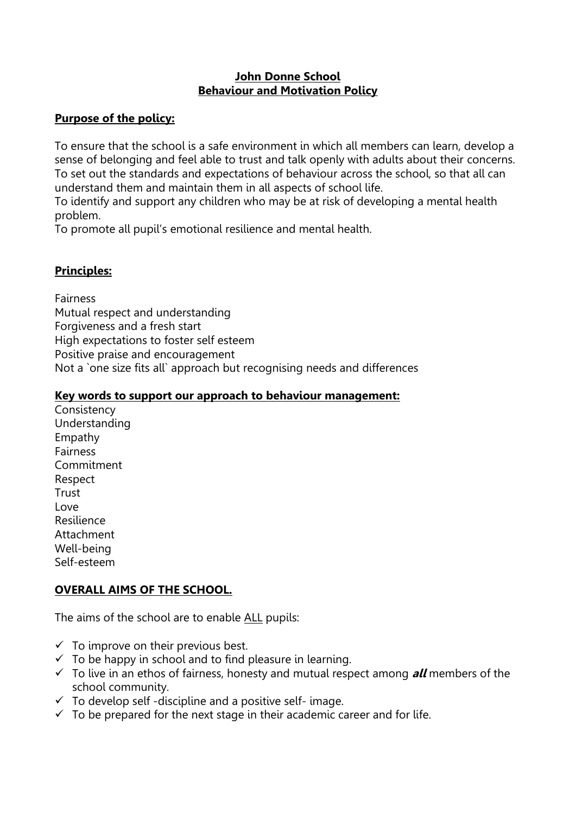#### **John Donne School Behaviour and Motivation Policy**

### **Purpose of the policy:**

To ensure that the school is a safe environment in which all members can learn, develop a sense of belonging and feel able to trust and talk openly with adults about their concerns. To set out the standards and expectations of behaviour across the school, so that all can understand them and maintain them in all aspects of school life.

To identify and support any children who may be at risk of developing a mental health problem.

To promote all pupil's emotional resilience and mental health.

# **Principles:**

Fairness Mutual respect and understanding Forgiveness and a fresh start High expectations to foster self esteem Positive praise and encouragement Not a `one size fits all` approach but recognising needs and differences

#### **Key words to support our approach to behaviour management:**

**Consistency** Understanding Empathy **Fairness** Commitment Respect **Trust** Love Resilience Attachment Well-being Self-esteem

# **OVERALL AIMS OF THE SCHOOL.**

The aims of the school are to enable ALL pupils:

- $\checkmark$  To improve on their previous best.
- $\checkmark$  To be happy in school and to find pleasure in learning.
- To live in an ethos of fairness, honesty and mutual respect among **all** members of the school community.
- $\checkmark$  To develop self-discipline and a positive self-image.
- $\checkmark$  To be prepared for the next stage in their academic career and for life.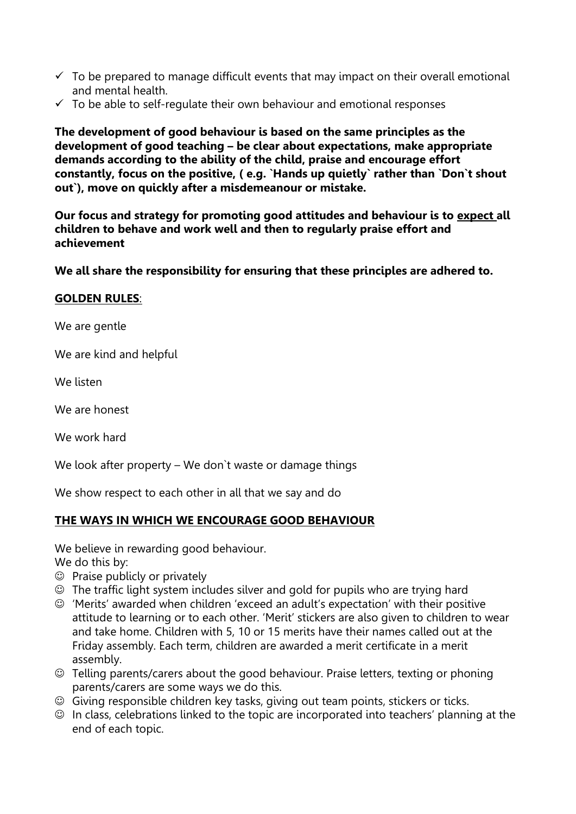- $\checkmark$  To be prepared to manage difficult events that may impact on their overall emotional and mental health.
- $\checkmark$  To be able to self-regulate their own behaviour and emotional responses

**The development of good behaviour is based on the same principles as the development of good teaching – be clear about expectations, make appropriate demands according to the ability of the child, praise and encourage effort constantly, focus on the positive, ( e.g. `Hands up quietly` rather than `Don`t shout out`), move on quickly after a misdemeanour or mistake.**

**Our focus and strategy for promoting good attitudes and behaviour is to expect all children to behave and work well and then to regularly praise effort and achievement**

**We all share the responsibility for ensuring that these principles are adhered to.**

#### **GOLDEN RULES**:

We are gentle

We are kind and helpful

We listen

We are honest

We work hard

We look after property – We don't waste or damage things

We show respect to each other in all that we say and do

#### **THE WAYS IN WHICH WE ENCOURAGE GOOD BEHAVIOUR**

We believe in rewarding good behaviour.

We do this by:

- $\odot$  Praise publicly or privately
- The traffic light system includes silver and gold for pupils who are trying hard
- 'Merits' awarded when children 'exceed an adult's expectation' with their positive attitude to learning or to each other. 'Merit' stickers are also given to children to wear and take home. Children with 5, 10 or 15 merits have their names called out at the Friday assembly. Each term, children are awarded a merit certificate in a merit assembly.
- Telling parents/carers about the good behaviour. Praise letters, texting or phoning parents/carers are some ways we do this.
- Giving responsible children key tasks, giving out team points, stickers or ticks.
- $\odot$  In class, celebrations linked to the topic are incorporated into teachers' planning at the end of each topic.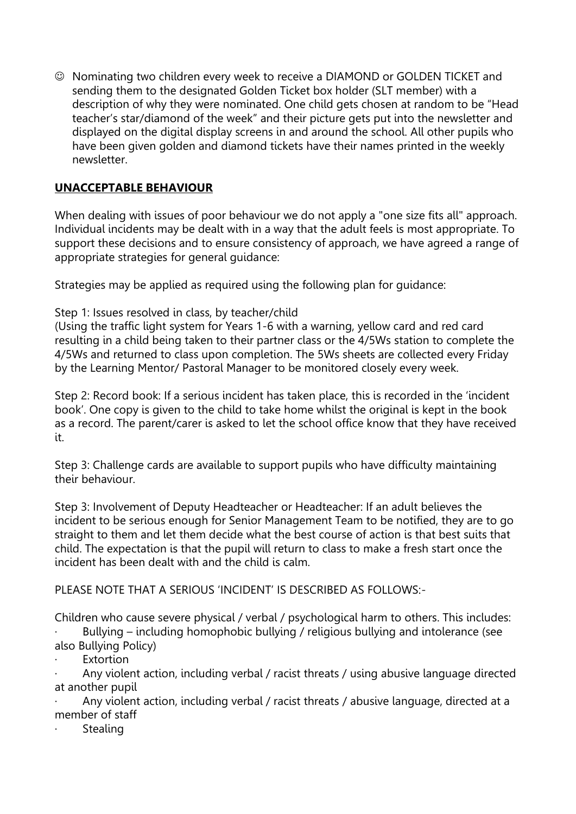Nominating two children every week to receive a DIAMOND or GOLDEN TICKET and sending them to the designated Golden Ticket box holder (SLT member) with a description of why they were nominated. One child gets chosen at random to be "Head teacher's star/diamond of the week" and their picture gets put into the newsletter and displayed on the digital display screens in and around the school. All other pupils who have been given golden and diamond tickets have their names printed in the weekly newsletter.

### **UNACCEPTABLE BEHAVIOUR**

When dealing with issues of poor behaviour we do not apply a "one size fits all" approach. Individual incidents may be dealt with in a way that the adult feels is most appropriate. To support these decisions and to ensure consistency of approach, we have agreed a range of appropriate strategies for general guidance:

Strategies may be applied as required using the following plan for quidance:

#### Step 1: Issues resolved in class, by teacher/child

(Using the traffic light system for Years 1-6 with a warning, yellow card and red card resulting in a child being taken to their partner class or the 4/5Ws station to complete the 4/5Ws and returned to class upon completion. The 5Ws sheets are collected every Friday by the Learning Mentor/ Pastoral Manager to be monitored closely every week.

Step 2: Record book: If a serious incident has taken place, this is recorded in the 'incident book'. One copy is given to the child to take home whilst the original is kept in the book as a record. The parent/carer is asked to let the school office know that they have received it.

Step 3: Challenge cards are available to support pupils who have difficulty maintaining their behaviour.

Step 3: Involvement of Deputy Headteacher or Headteacher: If an adult believes the incident to be serious enough for Senior Management Team to be notified, they are to go straight to them and let them decide what the best course of action is that best suits that child. The expectation is that the pupil will return to class to make a fresh start once the incident has been dealt with and the child is calm.

PLEASE NOTE THAT A SERIOUS 'INCIDENT' IS DESCRIBED AS FOLLOWS:-

Children who cause severe physical / verbal / psychological harm to others. This includes: Bullying – including homophobic bullying / religious bullying and intolerance (see

- also Bullying Policy)
- **Extortion**

· Any violent action, including verbal / racist threats / using abusive language directed at another pupil

Any violent action, including verbal / racist threats / abusive language, directed at a member of staff

**Stealing**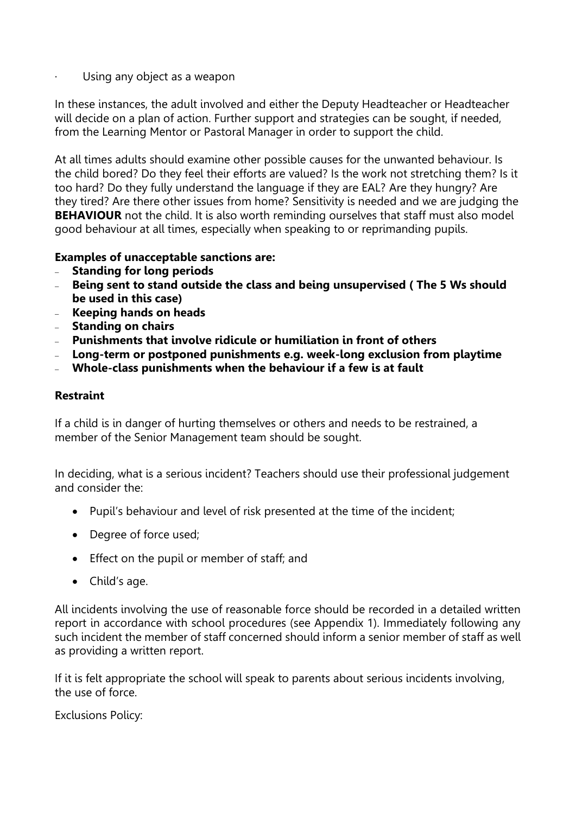Using any object as a weapon

In these instances, the adult involved and either the Deputy Headteacher or Headteacher will decide on a plan of action. Further support and strategies can be sought, if needed, from the Learning Mentor or Pastoral Manager in order to support the child.

At all times adults should examine other possible causes for the unwanted behaviour. Is the child bored? Do they feel their efforts are valued? Is the work not stretching them? Is it too hard? Do they fully understand the language if they are EAL? Are they hungry? Are they tired? Are there other issues from home? Sensitivity is needed and we are judging the **BEHAVIOUR** not the child. It is also worth reminding ourselves that staff must also model good behaviour at all times, especially when speaking to or reprimanding pupils.

#### **Examples of unacceptable sanctions are:**

- **Standing for long periods**
- **Being sent to stand outside the class and being unsupervised ( The 5 Ws should be used in this case)**
- **Keeping hands on heads**
- **Standing on chairs**
- **Punishments that involve ridicule or humiliation in front of others**
- **Long-term or postponed punishments e.g. week-long exclusion from playtime**
- **Whole-class punishments when the behaviour if a few is at fault**

#### **Restraint**

If a child is in danger of hurting themselves or others and needs to be restrained, a member of the Senior Management team should be sought.

In deciding, what is a serious incident? Teachers should use their professional judgement and consider the:

- Pupil's behaviour and level of risk presented at the time of the incident;
- Degree of force used:
- **Effect on the pupil or member of staff; and**
- Child's age.

All incidents involving the use of reasonable force should be recorded in a detailed written report in accordance with school procedures (see Appendix 1). Immediately following any such incident the member of staff concerned should inform a senior member of staff as well as providing a written report.

If it is felt appropriate the school will speak to parents about serious incidents involving, the use of force.

Exclusions Policy: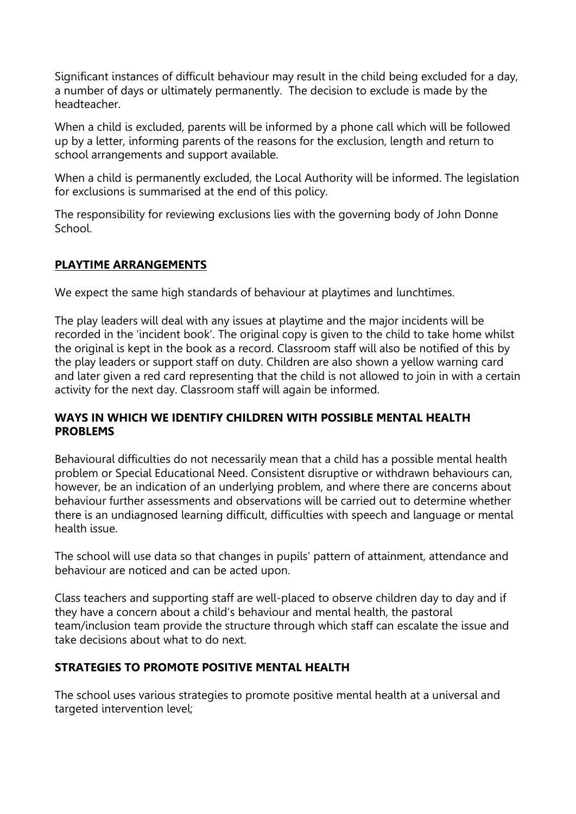Significant instances of difficult behaviour may result in the child being excluded for a day, a number of days or ultimately permanently. The decision to exclude is made by the headteacher.

When a child is excluded, parents will be informed by a phone call which will be followed up by a letter, informing parents of the reasons for the exclusion, length and return to school arrangements and support available.

When a child is permanently excluded, the Local Authority will be informed. The legislation for exclusions is summarised at the end of this policy.

The responsibility for reviewing exclusions lies with the governing body of John Donne School.

### **PLAYTIME ARRANGEMENTS**

We expect the same high standards of behaviour at playtimes and lunchtimes.

The play leaders will deal with any issues at playtime and the major incidents will be recorded in the 'incident book'. The original copy is given to the child to take home whilst the original is kept in the book as a record. Classroom staff will also be notified of this by the play leaders or support staff on duty. Children are also shown a yellow warning card and later given a red card representing that the child is not allowed to join in with a certain activity for the next day. Classroom staff will again be informed.

#### **WAYS IN WHICH WE IDENTIFY CHILDREN WITH POSSIBLE MENTAL HEALTH PROBLEMS**

Behavioural difficulties do not necessarily mean that a child has a possible mental health problem or Special Educational Need. Consistent disruptive or withdrawn behaviours can, however, be an indication of an underlying problem, and where there are concerns about behaviour further assessments and observations will be carried out to determine whether there is an undiagnosed learning difficult, difficulties with speech and language or mental health issue.

The school will use data so that changes in pupils' pattern of attainment, attendance and behaviour are noticed and can be acted upon.

Class teachers and supporting staff are well-placed to observe children day to day and if they have a concern about a child's behaviour and mental health, the pastoral team/inclusion team provide the structure through which staff can escalate the issue and take decisions about what to do next.

### **STRATEGIES TO PROMOTE POSITIVE MENTAL HEALTH**

The school uses various strategies to promote positive mental health at a universal and targeted intervention level;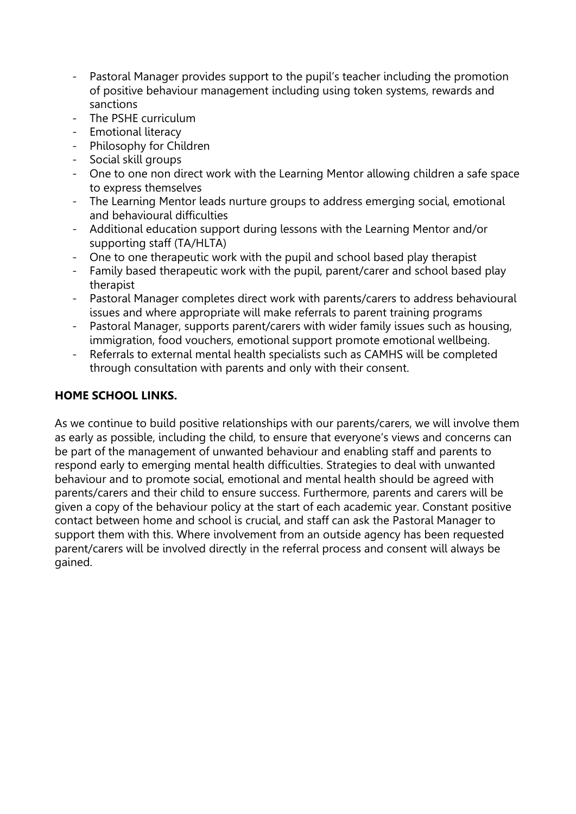- Pastoral Manager provides support to the pupil's teacher including the promotion of positive behaviour management including using token systems, rewards and sanctions
- The PSHE curriculum
- Emotional literacy
- Philosophy for Children
- Social skill groups
- One to one non direct work with the Learning Mentor allowing children a safe space to express themselves
- The Learning Mentor leads nurture groups to address emerging social, emotional and behavioural difficulties
- Additional education support during lessons with the Learning Mentor and/or supporting staff (TA/HLTA)
- One to one therapeutic work with the pupil and school based play therapist
- Family based therapeutic work with the pupil, parent/carer and school based play therapist
- Pastoral Manager completes direct work with parents/carers to address behavioural issues and where appropriate will make referrals to parent training programs
- Pastoral Manager, supports parent/carers with wider family issues such as housing, immigration, food vouchers, emotional support promote emotional wellbeing.
- Referrals to external mental health specialists such as CAMHS will be completed through consultation with parents and only with their consent.

### **HOME SCHOOL LINKS.**

As we continue to build positive relationships with our parents/carers, we will involve them as early as possible, including the child, to ensure that everyone's views and concerns can be part of the management of unwanted behaviour and enabling staff and parents to respond early to emerging mental health difficulties. Strategies to deal with unwanted behaviour and to promote social, emotional and mental health should be agreed with parents/carers and their child to ensure success. Furthermore, parents and carers will be given a copy of the behaviour policy at the start of each academic year. Constant positive contact between home and school is crucial, and staff can ask the Pastoral Manager to support them with this. Where involvement from an outside agency has been requested parent/carers will be involved directly in the referral process and consent will always be gained.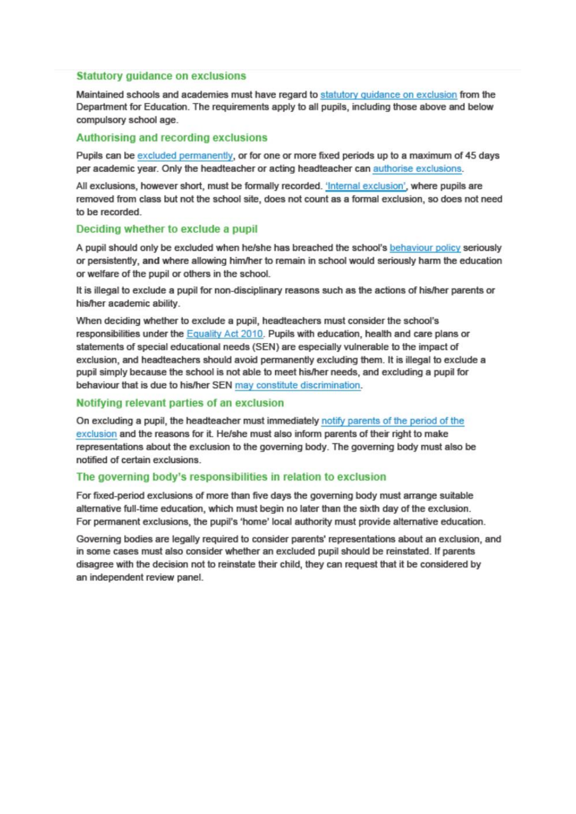#### **Statutory guidance on exclusions**

Maintained schools and academies must have regard to statutory quidance on exclusion from the Department for Education. The requirements apply to all pupils, including those above and below compulsory school age.

#### Authorising and recording exclusions

Pupils can be excluded permanently, or for one or more fixed periods up to a maximum of 45 days per academic year. Only the headteacher or acting headteacher can authorise exclusions.

All exclusions, however short, must be formally recorded. 'Internal exclusion', where pupils are removed from class but not the school site, does not count as a formal exclusion, so does not need to be recorded.

#### Deciding whether to exclude a pupil

A pupil should only be excluded when he/she has breached the school's behaviour policy seriously or persistently, and where allowing him/her to remain in school would seriously harm the education or welfare of the pupil or others in the school.

It is illegal to exclude a pupil for non-disciplinary reasons such as the actions of his/her parents or his/her academic ability.

When deciding whether to exclude a pupil, headteachers must consider the school's responsibilities under the Equality Act 2010. Pupils with education, health and care plans or statements of special educational needs (SEN) are especially vulnerable to the impact of exclusion, and headteachers should avoid permanently excluding them. It is illegal to exclude a pupil simply because the school is not able to meet his/her needs, and excluding a pupil for behaviour that is due to his/her SEN may constitute discrimination.

#### Notifying relevant parties of an exclusion

On excluding a pupil, the headteacher must immediately notify parents of the period of the exclusion and the reasons for it. He/she must also inform parents of their right to make representations about the exclusion to the governing body. The governing body must also be notified of certain exclusions.

#### The governing body's responsibilities in relation to exclusion

For fixed-period exclusions of more than five days the governing body must arrange suitable alternative full-time education, which must begin no later than the sixth day of the exclusion. For permanent exclusions, the pupil's 'home' local authority must provide alternative education.

Governing bodies are legally required to consider parents' representations about an exclusion, and in some cases must also consider whether an excluded pupil should be reinstated. If parents disagree with the decision not to reinstate their child, they can request that it be considered by an independent review panel.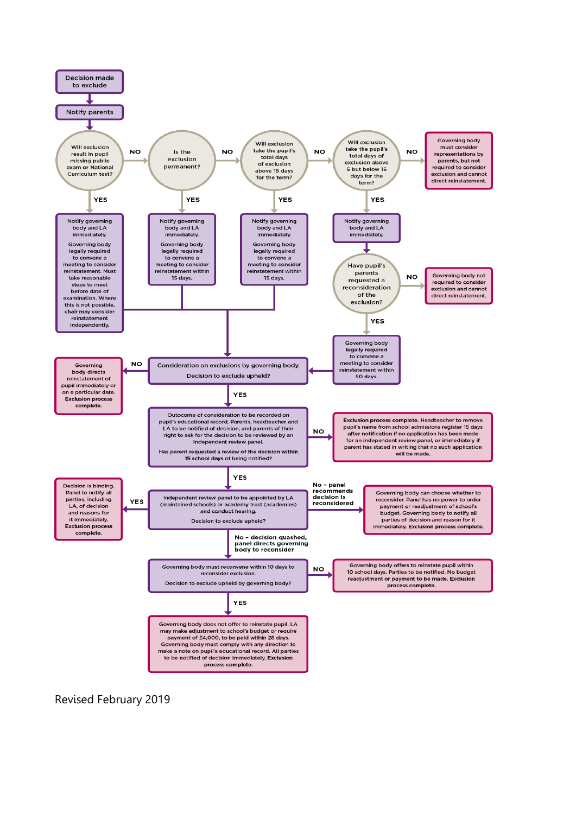

Revised February 2019